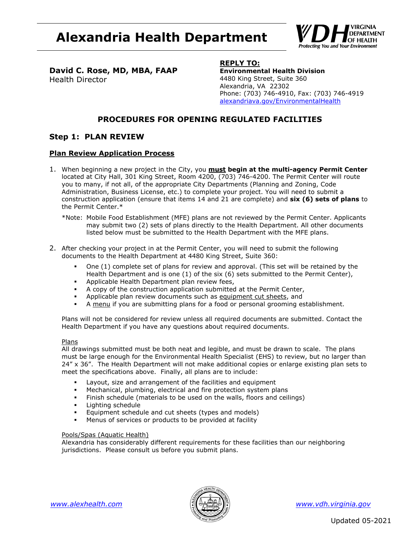# **Alexandria Health Department**



**David C. Rose, MD, MBA, FAAP** Health Director

# **REPLY TO:**

**Environmental Health Division**  4480 King Street, Suite 360 Alexandria, VA 22302 Phone: (703) 746-4910, Fax: (703) 746-4919 alexandriava.gov/EnvironmentalHealth

# **PROCEDURES FOR OPENING REGULATED FACILITIES**

# **Step 1: PLAN REVIEW**

# **Plan Review Application Process**

- 1. When beginning a new project in the City, you **must begin at the multi-agency Permit Center** located at City Hall, 301 King Street, Room 4200, (703) 746-4200. The Permit Center will route you to many, if not all, of the appropriate City Departments (Planning and Zoning, Code Administration, Business License, etc.) to complete your project. You will need to submit a construction application (ensure that items 14 and 21 are complete) and **six (6) sets of plans** to the Permit Center.\*
	- \*Note: Mobile Food Establishment (MFE) plans are not reviewed by the Permit Center. Applicants may submit two (2) sets of plans directly to the Health Department. All other documents listed below must be submitted to the Health Department with the MFE plans.
- 2. After checking your project in at the Permit Center, you will need to submit the following documents to the Health Department at 4480 King Street, Suite 360:
	- One (1) complete set of plans for review and approval. (This set will be retained by the Health Department and is one (1) of the six (6) sets submitted to the Permit Center),
	- **Applicable Health Department plan review fees,**
	- A copy of the construction application submitted at the Permit Center,
	- Applicable plan review documents such as equipment cut sheets, and
	- A menu if you are submitting plans for a food or personal grooming establishment.

Plans will not be considered for review unless all required documents are submitted. Contact the Health Department if you have any questions about required documents.

### Plans

All drawings submitted must be both neat and legible, and must be drawn to scale. The plans must be large enough for the Environmental Health Specialist (EHS) to review, but no larger than 24" x 36". The Health Department will not make additional copies or enlarge existing plan sets to meet the specifications above. Finally, all plans are to include:

- Layout, size and arrangement of the facilities and equipment
- Mechanical, plumbing, electrical and fire protection system plans
- Finish schedule (materials to be used on the walls, floors and ceilings)
- **Lighting schedule**
- Equipment schedule and cut sheets (types and models)
- Menus of services or products to be provided at facility

### Pools/Spas (Aquatic Health)

Alexandria has considerably different requirements for these facilities than our neighboring jurisdictions. Please consult us before you submit plans.



*www.alexhealth.com www.vdh.virginia.gov*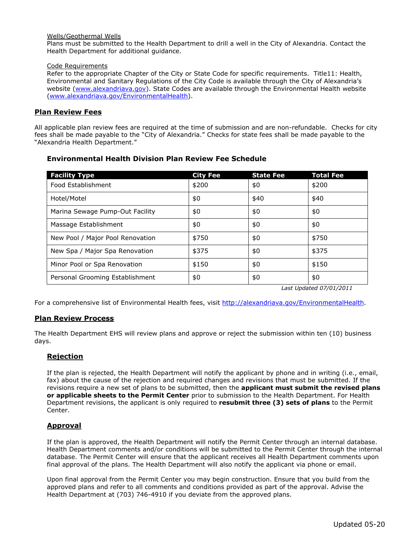### Wells/Geothermal Wells

Plans must be submitted to the Health Department to drill a well in the City of Alexandria. Contact the Health Department for additional guidance.

### Code Requirements

Refer to the appropriate Chapter of the City or State Code for specific requirements. Title11: Health, Environmental and Sanitary Regulations of the City Code is available through the City of Alexandria's website (www.alexandriava.gov). State Codes are available through the Environmental Health website (www.alexandriava.gov/EnvironmentalHealth).

### **Plan Review Fees**

All applicable plan review fees are required at the time of submission and are non-refundable. Checks for city fees shall be made payable to the "City of Alexandria." Checks for state fees shall be made payable to the "Alexandria Health Department."

| <b>Facility Type</b>             | <b>City Fee</b> | <b>State Fee</b> | <b>Total Fee</b> |
|----------------------------------|-----------------|------------------|------------------|
| Food Establishment               | \$200           | \$0              | \$200            |
| Hotel/Motel                      | \$0             | \$40             | \$40             |
| Marina Sewage Pump-Out Facility  | \$0             | \$0              | \$0              |
| Massage Establishment            | \$0             | \$0              | \$0              |
| New Pool / Major Pool Renovation | \$750           | \$0              | \$750            |
| New Spa / Major Spa Renovation   | \$375           | \$0              | \$375            |
| Minor Pool or Spa Renovation     | \$150           | \$0              | \$150            |
| Personal Grooming Establishment  | \$0             | \$0              | \$0              |

# **Environmental Health Division Plan Review Fee Schedule**

*Last Updated 07/01/2011* 

For a comprehensive list of Environmental Health fees, visit http://alexandriava.gov/EnvironmentalHealth.

# **Plan Review Process**

The Health Department EHS will review plans and approve or reject the submission within ten (10) business days.

# **Rejection**

If the plan is rejected, the Health Department will notify the applicant by phone and in writing (i.e., email, fax) about the cause of the rejection and required changes and revisions that must be submitted. If the revisions require a new set of plans to be submitted, then the **applicant must submit the revised plans or applicable sheets to the Permit Center** prior to submission to the Health Department. For Health Department revisions, the applicant is only required to **resubmit three (3) sets of plans** to the Permit Center.

# **Approval**

If the plan is approved, the Health Department will notify the Permit Center through an internal database. Health Department comments and/or conditions will be submitted to the Permit Center through the internal database. The Permit Center will ensure that the applicant receives all Health Department comments upon final approval of the plans. The Health Department will also notify the applicant via phone or email.

Upon final approval from the Permit Center you may begin construction. Ensure that you build from the approved plans and refer to all comments and conditions provided as part of the approval. Advise the Health Department at (703) 746-4910 if you deviate from the approved plans.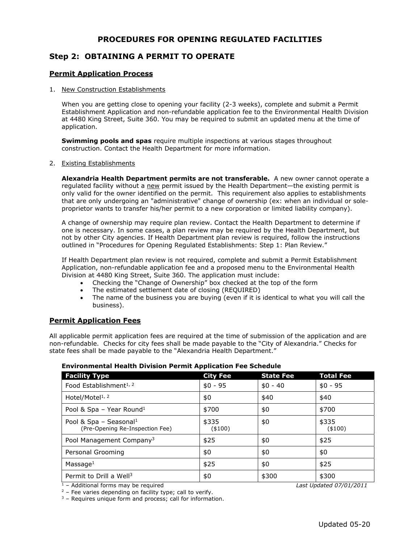# **PROCEDURES FOR OPENING REGULATED FACILITIES**

# **Step 2: OBTAINING A PERMIT TO OPERATE**

# **Permit Application Process**

#### 1. New Construction Establishments

When you are getting close to opening your facility (2-3 weeks), complete and submit a Permit Establishment Application and non-refundable application fee to the Environmental Health Division at 4480 King Street, Suite 360. You may be required to submit an updated menu at the time of application.

**Swimming pools and spas** require multiple inspections at various stages throughout construction. Contact the Health Department for more information.

### 2. Existing Establishments

**Alexandria Health Department permits are not transferable.** A new owner cannot operate a regulated facility without a new permit issued by the Health Department—the existing permit is only valid for the owner identified on the permit.This requirement also applies to establishments that are only undergoing an "administrative" change of ownership (ex: when an individual or soleproprietor wants to transfer his/her permit to a new corporation or limited liability company).

A change of ownership may require plan review. Contact the Health Department to determine if one is necessary. In some cases, a plan review may be required by the Health Department, but not by other City agencies. If Health Department plan review is required, follow the instructions outlined in "Procedures for Opening Regulated Establishments: Step 1: Plan Review."

If Health Department plan review is not required, complete and submit a Permit Establishment Application, non-refundable application fee and a proposed menu to the Environmental Health Division at 4480 King Street, Suite 360. The application must include:

- Checking the "Change of Ownership" box checked at the top of the form
- The estimated settlement date of closing (REQUIRED)
- The name of the business you are buying (even if it is identical to what you will call the business).

# **Permit Application Fees**

All applicable permit application fees are required at the time of submission of the application and are non-refundable. Checks for city fees shall be made payable to the "City of Alexandria." Checks for state fees shall be made payable to the "Alexandria Health Department."

# **Environmental Health Division Permit Application Fee Schedule**

| <b>Facility Type</b>                                                  | <b>City Fee</b>   | <b>State Fee</b> | <b>Total Fee</b>  |
|-----------------------------------------------------------------------|-------------------|------------------|-------------------|
| Food Establishment <sup>1, 2</sup>                                    | $$0 - 95$         | $$0 - 40$        | $$0 - 95$         |
| Hotel/Motel <sup>1, 2</sup>                                           | \$0               | \$40             | \$40              |
| Pool & Spa - Year Round <sup>1</sup>                                  | \$700             | \$0              | \$700             |
| Pool & Spa - Seasonal <sup>1</sup><br>(Pre-Opening Re-Inspection Fee) | \$335<br>( \$100) | \$0              | \$335<br>( \$100) |
| Pool Management Company <sup>3</sup>                                  | \$25              | \$0              | \$25              |
| Personal Grooming                                                     | \$0               | \$0              | \$0               |
| Massage $1$                                                           | \$25              | \$0              | \$25              |
| Permit to Drill a Well <sup>3</sup>                                   | \$0               | \$300            | \$300             |

 $\frac{1}{1}$  – Additional forms may be required *Last Updated 07/01/2011 Last Updated 07/01/2011* <sup>2</sup> – Fee varies depending on facility type; call to verify.

 $3$  – Requires unique form and process; call for information.